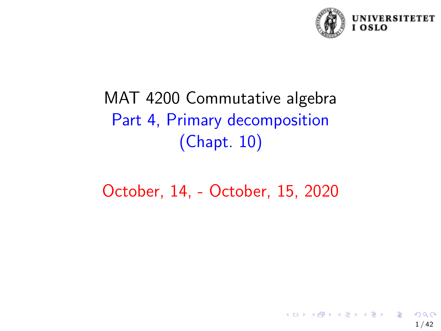

# <span id="page-0-0"></span>MAT 4200 Commutative algebra Part 4, Primary decomposition (Chapt. 10)

October, 14, - October, 15, 2020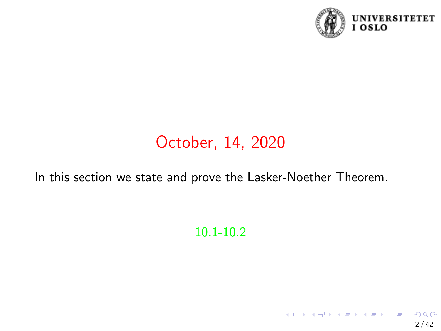

 $2/42$ 

 $\Omega$ 

メロトメ 御 トメ 差 トメ 差 トー 差

# October, 14, 2020

In this section we state and prove the Lasker-Noether Theorem.

### 10.1-10.2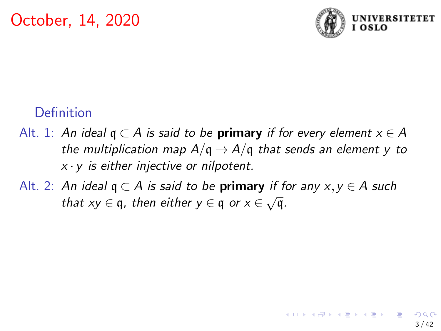

# **Definition**

- Alt. 1: An ideal  $q \subset A$  is said to be **primary** if for every element  $x \in A$ the multiplication map  $A/q \rightarrow A/q$  that sends an element y to  $x \cdot y$  is either injective or nilpotent.
- Alt. 2: An ideal  $q \subset A$  is said to be **primary** if for any  $x, y \in A$  such that  $xy \in q$ , then either  $y \in q$  or  $x \in \sqrt{q}$ .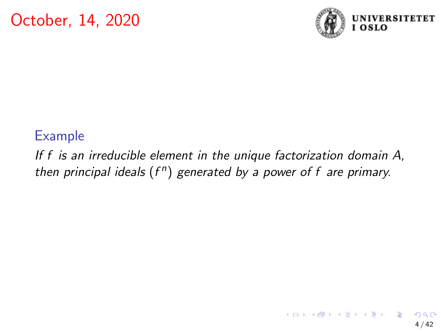

#### Example

If f is an irreducible element in the unique factorization domain A, then principal ideals  $(f^n)$  generated by a power of f are primary.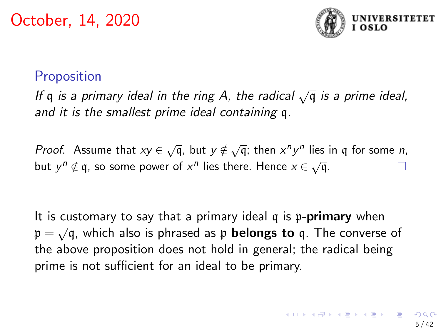

## **Proposition**

If  $\mathfrak q$  is a primary ideal in the ring A, the radical  $\sqrt{\mathfrak q}$  is a prime ideal, and it is the smallest prime ideal containing q.

*Proof.* Assume that  $xy \in \sqrt{q}$ , but  $y \notin \sqrt{q}$ ; then  $x^n y^n$  lies in q for some *n*, but  $y^n \notin q$ , so some power of  $x^n$  lies there. Hence  $x \in \sqrt{q}$ .

It is customary to say that a primary ideal  $q$  is  $p$ -**primary** when  $p = \sqrt{q}$ , which also is phrased as p **belongs to** q. The converse of the above proposition does not hold in general; the radical being prime is not sufficient for an ideal to be primary.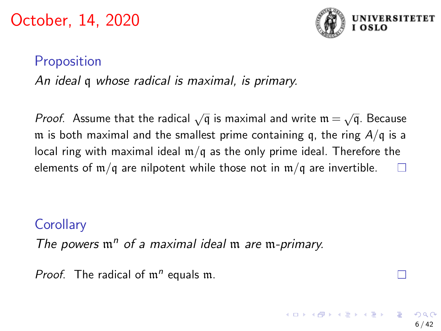

6 / 42

# Proposition

An ideal q whose radical is maximal, is primary.

*Proof*. Assume that the radical  $\sqrt{q}$  is maximal and write  $\mathfrak{m} = \sqrt{q}$ . Because m is both maximal and the smallest prime containing q, the ring  $A/q$  is a local ring with maximal ideal  $m/q$  as the only prime ideal. Therefore the elements of  $m/q$  are nilpotent while those not in  $m/q$  are invertible.

## **Corollary**

The powers  $\mathfrak{m}^n$  of a maximal ideal  $\mathfrak{m}$  are  $\mathfrak{m}$ -primary.

Proof. The radical of  $m^n$  equals  $m$ .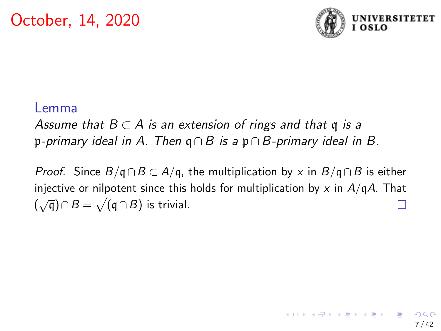

#### Lemma

Assume that  $B \subset A$  is an extension of rings and that q is a p-primary ideal in A. Then  $q \cap B$  is a p $\cap B$ -primary ideal in B.

*Proof.* Since  $B/\mathfrak{q} \cap B \subset A/\mathfrak{q}$ , the multiplication by x in  $B/\mathfrak{q} \cap B$  is either injective or nilpotent since this holds for multiplication by x in  $A/qA$ . That  $(\sqrt{q}) \cap B = \sqrt{(q \cap B)}$  is trivial.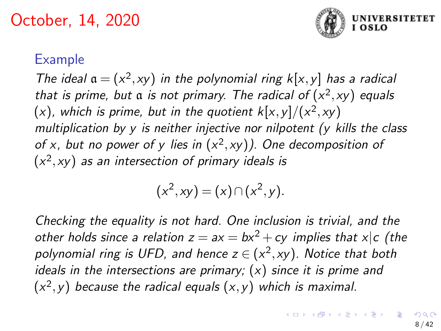

### Example

The ideal  $a = (x^2, xy)$  in the polynomial ring  $k[x, y]$  has a radical that is prime, but a is not primary. The radical of  $(x^2, xy)$  equals  $(x)$ , which is prime, but in the quotient  $k[x,y]/(x^2,xy)$ multiplication by y is neither injective nor nilpotent (y kills the class of x, but no power of y lies in  $(x^2, xy)$ ). One decomposition of  $(x^2, xy)$  as an intersection of primary ideals is

$$
(x2, xy) = (x) \cap (x2, y).
$$

Checking the equality is not hard. One inclusion is trivial, and the other holds since a relation  $z = ax = bx^2 + cy$  implies that  $x|c$  (the polynomial ring is UFD, and hence  $z \in (x^2, xy)$ . Notice that both ideals in the intersections are primary;  $(x)$  since it is prime and  $(x^2, y)$  because the radical equals  $(x, y)$  which is maximal.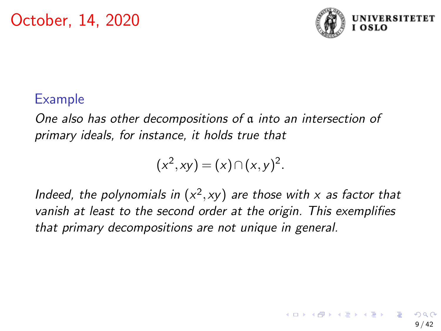

### Example

One also has other decompositions of a into an intersection of primary ideals, for instance, it holds true that

$$
(x^2, xy) = (x) \cap (x, y)^2.
$$

Indeed, the polynomials in  $(x^2, xy)$  are those with x as factor that vanish at least to the second order at the origin. This exemplifies that primary decompositions are not unique in general.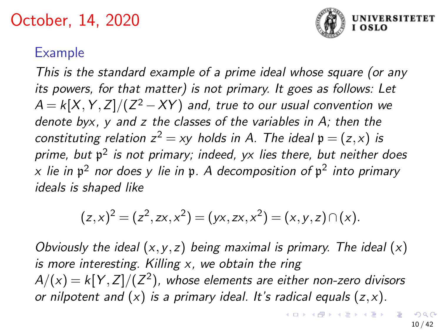

# Example

This is the standard example of a prime ideal whose square (or any its powers, for that matter) is not primary. It goes as follows: Let  $A = k[X, Y, Z]/(Z^2 - XY)$  and, true to our usual convention we denote byx, y and z the classes of the variables in A; then the constituting relation  $z^2 = xy$  holds in A. The ideal  $\mathfrak{p} = (z,x)$  is prime, but  $\mathfrak{p}^2$  is not primary; indeed, yx lies there, but neither does  $\times$  lie in  $\mathfrak{p}^2$  nor does y lie in  $\mathfrak{p}.$  A decomposition of  $\mathfrak{p}^2$  into primary ideals is shaped like

$$
(z,x)^2 = (z^2, zx, x^2) = (yx, zx, x^2) = (x,y,z) \cap (x).
$$

Obviously the ideal  $(x, y, z)$  being maximal is primary. The ideal  $(x)$ is more interesting. Killing  $x$ , we obtain the ring  $A/({\mathsf{x}}) = k[Y,Z]/(Z^2)$ , whose elements are either non-zero divisors or nilpotent and  $(x)$  is a primary ideal. It's radical equals  $(z, x)$ .

**K ロ ▶ K 御 ▶ K 君 ▶ K 君 ▶ │ 君**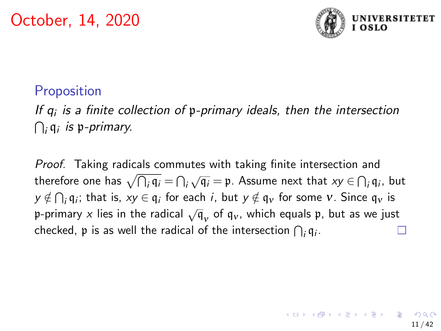

# **Proposition**

If  $q_i$  is a finite collection of  $\mathfrak p$ -primary ideals, then the intersection  $\bigcap_i \frak q_i$  is p-primary.

Proof. Taking radicals commutes with taking finite intersection and therefore one has  $\sqrt{\bigcap_i \mathfrak{q}_i} = \bigcap_i$  $\sqrt{q_i} = \mathfrak{p}$ . Assume next that  $xy \in \bigcap_i q_i$ , but  $\mathsf{y} \notin \bigcap_i \mathfrak{q}_i;$  that is,  $\mathsf{x} \mathsf{y} \in \mathfrak{q}_i$  for each  $i$ , but  $\mathsf{y} \notin \mathfrak{q}_\mathsf{v}$  for some  $\mathsf{v}.$  Since  $\mathfrak{q}_\mathsf{v}$  is p-primary x lies in the radical  $\sqrt{q}_v$  of  $q_v$ , which equals p, but as we just checked,  $\frak{p}$  is as well the radical of the intersection  $\bigcap_i \frak{q}_i.$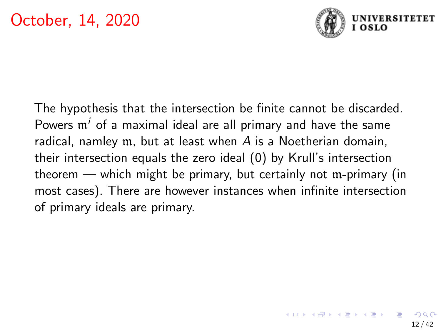

The hypothesis that the intersection be finite cannot be discarded. Powers  $m^{i}$  of a maximal ideal are all primary and have the same radical, namley m, but at least when A is a Noetherian domain, their intersection equals the zero ideal (0) by Krull's intersection theorem — which might be primary, but certainly not m-primary (in most cases). There are however instances when infinite intersection of primary ideals are primary.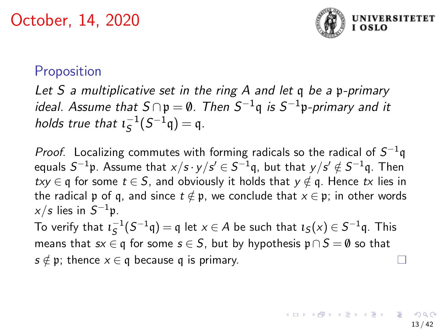

### **Proposition**

Let S a multiplicative set in the ring A and let q be a p-primary ideal. Assume that  $S \cap \mathfrak{p} = \emptyset$ . Then  $S^{-1}\mathfrak{q}$  is  $S^{-1}\mathfrak{p}$ -primary and it holds true that  $\iota_S^{-1}(S^{-1}\mathfrak{q}) = \mathfrak{q}$ .

*Proof.* Localizing commutes with forming radicals so the radical of  $S^{-1}$ q equals  $S^{-1}$ p. Assume that  $x/s \cdot y / s' \in S^{-1}$ q, but that  $y/s' \notin S^{-1}$ q. Then  $txy \in q$  for some  $t \in S$ , and obviously it holds that  $y \notin q$ . Hence  $tx$  lies in the radical p of q, and since  $t \notin \mathfrak{p}$ , we conclude that  $x \in \mathfrak{p}$ ; in other words  $x/s$  lies in  $S^{-1}\mathfrak{p}.$ 

To verify that  $\iota_S^{-1}(S^{-1}\mathfrak{q}) = \mathfrak{q}$  let  $x \in A$  be such that  $\iota_S(x) \in S^{-1}\mathfrak{q}$ . This means that  $sx \in q$  for some  $s \in S$ , but by hypothesis  $\mathfrak{p} \cap S = \emptyset$  so that  $s \notin \mathfrak{p}$ ; thence  $x \in \mathfrak{q}$  because q is primary.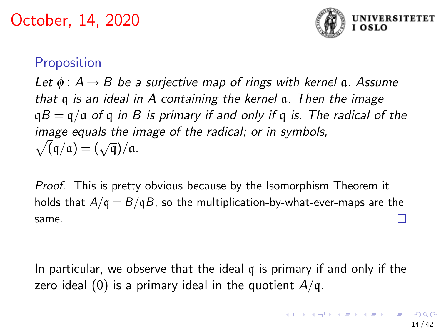

## **Proposition**

Let  $\phi$ :  $A \rightarrow B$  be a surjective map of rings with kernel a. Assume that q is an ideal in A containing the kernel a. Then the image  $qB = q/a$  of q in B is primary if and only if q is. The radical of the image equals the image of the radical; or in symbols,  $m$ age equals the *n*<br> $\sqrt{q}/q = (\sqrt{q})/q$ .

Proof. This is pretty obvious because by the Isomorphism Theorem it holds that  $A/q = B/qB$ , so the multiplication-by-what-ever-maps are the same.

In particular, we observe that the ideal q is primary if and only if the zero ideal (0) is a primary ideal in the quotient  $A/q$ .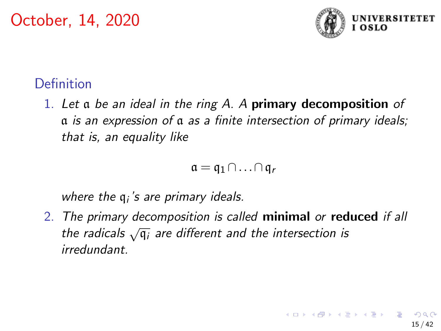

## Definition

1. Let a be an ideal in the ring  $A$ . A primary decomposition of a is an expression of a as a finite intersection of primary ideals; that is, an equality like

$$
\mathfrak{a} = \mathfrak{q}_1 \cap \ldots \cap \mathfrak{q}_r
$$

where the  $q_i$ 's are primary ideals.

2. The primary decomposition is called minimal or reduced if all the primary accomposition is called **infinition** of **i**ce<br>the radicals  $\sqrt{\mathfrak{q}_i}$  are different and the intersection is irredundant.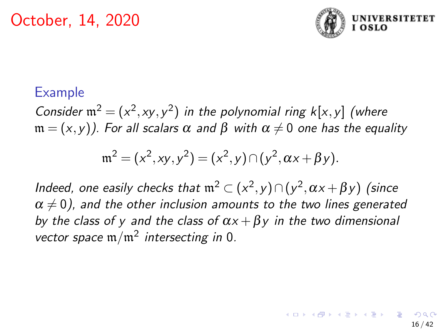

### Example

Consider  $\mathfrak{m}^2 = (x^2, xy, y^2)$  in the polynomial ring  $k[x, y]$  (where  $m = (x, y)$ ). For all scalars  $\alpha$  and  $\beta$  with  $\alpha \neq 0$  one has the equality

$$
\mathfrak{m}^2 = (x^2, xy, y^2) = (x^2, y) \cap (y^2, \alpha x + \beta y).
$$

Indeed, one easily checks that  $\mathfrak{m}^2 \subset (x^2,y) \cap (y^2,\alpha x + \beta y)$  (since  $\alpha \neq 0$ ), and the other inclusion amounts to the two lines generated by the class of y and the class of  $\alpha x + \beta y$  in the two dimensional vector space  $m/m^2$  intersecting in 0.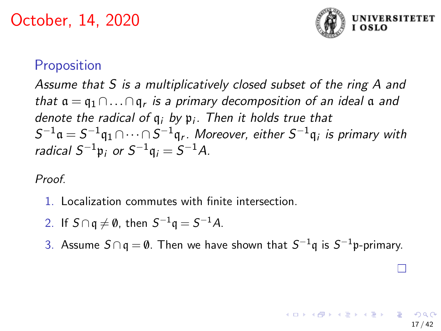

17 / 42

### **Proposition**

Assume that S is a multiplicatively closed subset of the ring A and that  $\mathfrak{a} = \mathfrak{q}_1 \cap \ldots \cap \mathfrak{q}_r$  is a primary decomposition of an ideal  $\mathfrak a$  and denote the radical of  $q_i$  by  $p_i$ . Then it holds true that  $S^{-1}\mathfrak{a} = S^{-1}\mathfrak{q}_1 \cap \cdots \cap S^{-1}\mathfrak{q}_r$ . Moreover, either  $S^{-1}\mathfrak{q}_i$  is primary with radical  $S^{-1}\mathfrak{p}_i$  or  $S^{-1}\mathfrak{q}_i = S^{-1}A$ .

Proof.

- 1. Localization commutes with finite intersection.
- 2. If  $S \cap q \neq \emptyset$ , then  $S^{-1}q = S^{-1}A$ .
- 3. Assume  $S \cap \mathfrak{q} = \emptyset$ . Then we have shown that  $S^{-1}\mathfrak{q}$  is  $S^{-1}\mathfrak{p}$ -primary.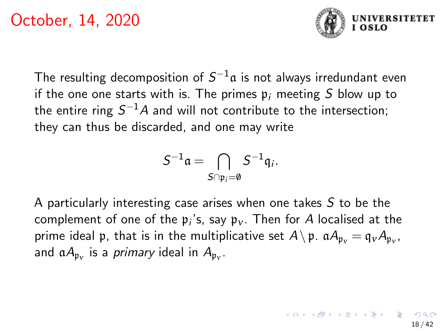

The resulting decomposition of  $S^{-1}\mathfrak{a}$  is not always irredundant even if the one one starts with is. The primes  $\mathfrak{p}_i$  meeting S blow up to the entire ring  $S^{-1}A$  and will not contribute to the intersection; they can thus be discarded, and one may write

$$
S^{-1}\mathfrak{a}=\bigcap_{S\cap\mathfrak{p}_i=\emptyset}S^{-1}\mathfrak{q}_i.
$$

A particularly interesting case arises when one takes  $S$  to be the complement of one of the  $\mathfrak{p}_i$ 's, say  $\mathfrak{p}_v$ . Then for A localised at the prime ideal  $\frak{p},$  that is in the multiplicative set  $A\!\setminus\!\frak{p}.$   $\frak{a} A_{\frak{p}_{\nu}}=\frak{q}_{\nu} A_{\frak{p}_{\nu}}.$ and  $\mathfrak{a}A_{\mathfrak{p}_v}$  is a *primary* ideal in  $A_{\mathfrak{p}_v}.$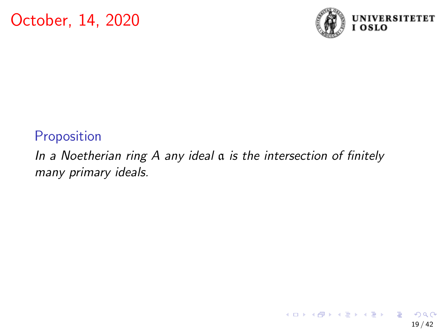

19 / 42

 $209$ 

目

メロメ メ御 メメ きょうぼ おう

### Proposition

## In a Noetherian ring A any ideal a is the intersection of finitely many primary ideals.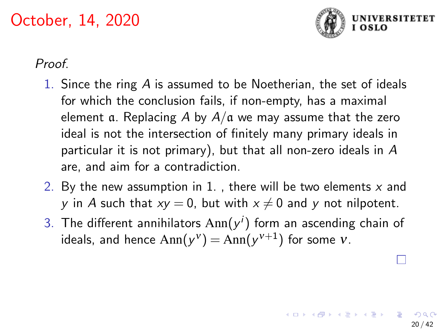

20 / 42

#### Proof.

- 1. Since the ring A is assumed to be Noetherian, the set of ideals for which the conclusion fails, if non-empty, has a maximal element a. Replacing A by  $A/a$  we may assume that the zero ideal is not the intersection of finitely many primary ideals in particular it is not primary), but that all non-zero ideals in A are, and aim for a contradiction.
- 2. By the new assumption in 1., there will be two elements  $x$  and y in A such that  $xy = 0$ , but with  $x \neq 0$  and y not nilpotent.
- 3. The different annihilators  $\text{Ann}(y^i)$  form an ascending chain of ideals, and hence  ${\rm Ann}({\rm y}^{\rm v})={\rm Ann}({\rm y}^{{\rm v}+1})$  for some  ${\rm v}.$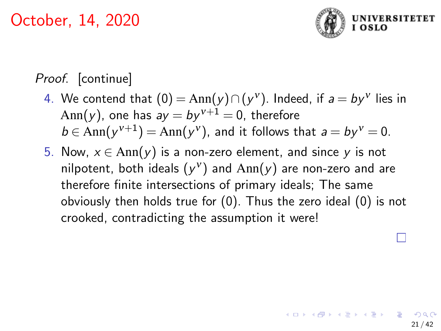

# Proof. [continue]

- 4. We contend that  $(0) = Ann(y) ∩ (y<sup>v</sup>)$ . Indeed, if  $a = by<sup>v</sup>$  lies in Ann(y), one has  $ay = by^{v+1} = 0$ , therefore  $b \in Ann(y^{v+1}) = Ann(y^v)$ , and it follows that  $a = by^v = 0$ .
- 5. Now,  $x \in Ann(y)$  is a non-zero element, and since y is not nilpotent, both ideals  $(y^{\nu})$  and  $\mathrm{Ann}(y)$  are non-zero and are therefore finite intersections of primary ideals; The same obviously then holds true for (0). Thus the zero ideal (0) is not crooked, contradicting the assumption it were!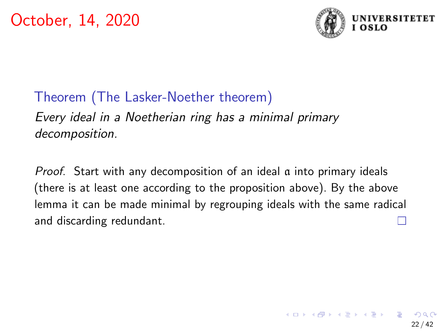

# Theorem (The Lasker-Noether theorem)

Every ideal in a Noetherian ring has a minimal primary decomposition.

Proof. Start with any decomposition of an ideal a into primary ideals (there is at least one according to the proposition above). By the above lemma it can be made minimal by regrouping ideals with the same radical and discarding redundant.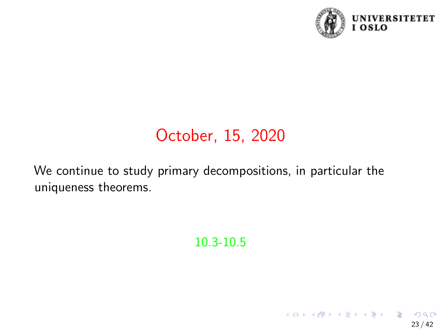

23 / 42

イロト 不優 トメ 差 トメ 差 トー 差

# October, 15, 2020

We continue to study primary decompositions, in particular the uniqueness theorems.

10.3-10.5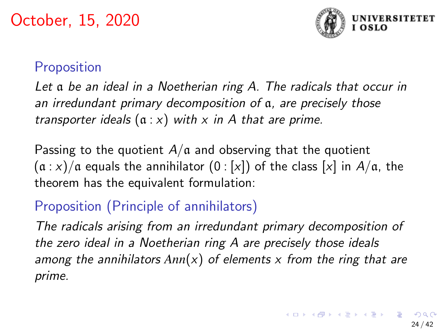

# **Proposition**

Let a be an ideal in a Noetherian ring A. The radicals that occur in an irredundant primary decomposition of a, are precisely those transporter ideals  $(a : x)$  with x in A that are prime.

Passing to the quotient  $A/a$  and observing that the quotient  $(a : x)/a$  equals the annihilator  $(0 : [x])$  of the class  $[x]$  in  $A/a$ , the theorem has the equivalent formulation:

# Proposition (Principle of annihilators)

The radicals arising from an irredundant primary decomposition of the zero ideal in a Noetherian ring A are precisely those ideals among the annihilators *Ann*(x) of elements x from the ring that are prime.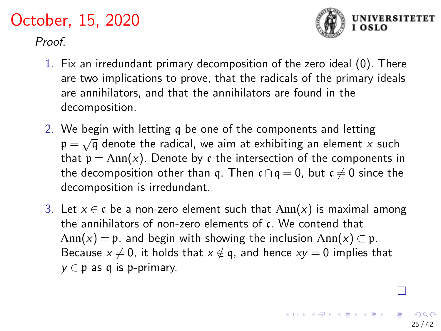Proof.



**K ロ ▶ K 個 ▶ K ミ ▶ K ミ ▶** 

- 1. Fix an irredundant primary decomposition of the zero ideal (0). There are two implications to prove, that the radicals of the primary ideals are annihilators, and that the annihilators are found in the decomposition.
- 2. We begin with letting q be one of the components and letting we begin with letting q be one of the components and letting  $p = \sqrt{q}$  denote the radical, we aim at exhibiting an element x such that  $p = Ann(x)$ . Denote by c the intersection of the components in the decomposition other than q. Then  $c \cap q = 0$ , but  $c \neq 0$  since the decomposition is irredundant.
- 3. Let  $x \in \mathfrak{c}$  be a non-zero element such that  $Ann(x)$  is maximal among the annihilators of non-zero elements of c. We contend that Ann(x) = p, and begin with showing the inclusion Ann(x)  $\subset$  p. Because  $x \neq 0$ , it holds that  $x \notin \mathfrak{g}$ , and hence  $xy = 0$  implies that  $y \in \mathfrak{p}$  as q is p-primary.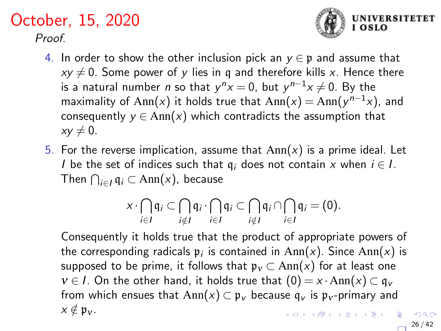### October, 15, 2020 Proof



- $xy \neq 0$ . Some power of y lies in q and therefore kills x. Hence there is a natural number  $n$  so that  $y^nx=0$ , but  $y^{n-1}x\neq 0.$  By the maximality of Ann(x) it holds true that  $Ann(x) = Ann(y^{n-1}x)$ , and consequently  $y \in Ann(x)$  which contradicts the assumption that  $xy \neq 0$ .
- 5. For the reverse implication, assume that  $Ann(x)$  is a prime ideal. Let I be the set of indices such that  $q_i$  does not contain x when  $i \in I$ . Then  $\bigcap_{i\in I}\mathfrak{q}_i\subset \text{Ann}(x)$ , because

$$
x\cdot \bigcap_{i\in I} \mathfrak{q}_i \subset \bigcap_{i\notin I} \mathfrak{q}_i \cdot \bigcap_{i\in I} \mathfrak{q}_i \subset \bigcap_{i\notin I} \mathfrak{q}_i \cap \bigcap_{i\in I} \mathfrak{q}_i = (0).
$$

Consequently it holds true that the product of appropriate powers of the corresponding radicals  $\mathfrak{p}_i$  is contained in  $\text{Ann}(x)$ . Since  $\text{Ann}(x)$  is supposed to be prime, it follows that  $\mathfrak{p}_v \subset \text{Ann}(x)$  for at least one  $v \in I$ . On the other hand, it holds true that  $(0) = x \cdot Ann(x) \subset q_v$ from which ensues that  $Ann(x) \subset \mathfrak{p}_v$  because  $\mathfrak{q}_v$  is  $\mathfrak{p}_v$ -primary and  $x \notin \mathfrak{p}_v$ . **KORK EXTERNS ORA** 

**IINIVERSITETET**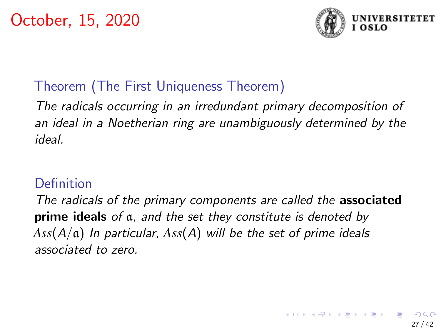

# Theorem (The First Uniqueness Theorem)

The radicals occurring in an irredundant primary decomposition of an ideal in a Noetherian ring are unambiguously determined by the ideal.

### **Definition**

The radicals of the primary components are called the **associated** prime ideals of a, and the set they constitute is denoted by *Ass*(A/a) In particular, *Ass*(A) will be the set of prime ideals associated to zero.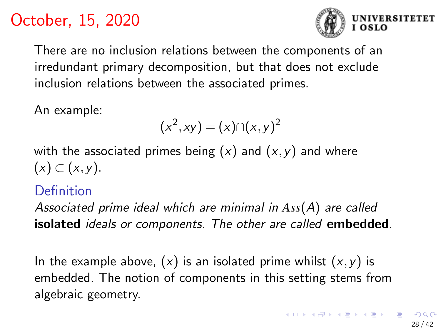

There are no inclusion relations between the components of an irredundant primary decomposition, but that does not exclude inclusion relations between the associated primes.

An example:

$$
(x^2, xy) = (x) \cap (x, y)^2
$$

with the associated primes being  $(x)$  and  $(x, y)$  and where  $(x)$   $\subset$   $(x,y)$ .

### Definition

Associated prime ideal which are minimal in *Ass*(A) are called isolated *ideals or components*. The other are called embedded.

In the example above,  $(x)$  is an isolated prime whilst  $(x, y)$  is embedded. The notion of components in this setting stems from algebraic geometry.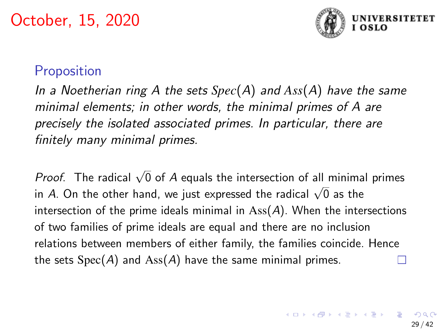

## **Proposition**

In a Noetherian ring A the sets *Spec*(A) and *Ass*(A) have the same minimal elements; in other words, the minimal primes of A are precisely the isolated associated primes. In particular, there are finitely many minimal primes.

*Proof.* The radical  $\sqrt{0}$  of A equals the intersection of all minimal primes in A. On the other hand, we just expressed the radical  $\sqrt{0}$  as the internal order thand, we just expressed the radical  $\sqrt{0}$  as the intersection of the prime ideals minimal in  $\text{Ass}(A)$ . When the intersections of two families of prime ideals are equal and there are no inclusion relations between members of either family, the families coincide. Hence the sets  $Spec(A)$  and  $Ass(A)$  have the same minimal primes.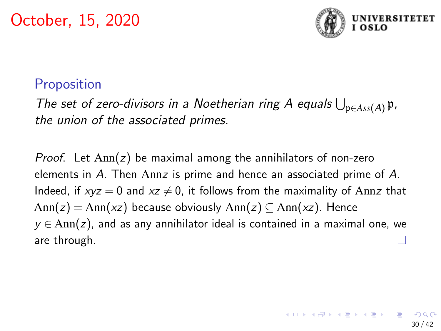

### **Proposition**

The set of zero-divisors in a Noetherian ring A equals  $\bigcup_{\mathfrak{p}\in Ass(A)}\mathfrak{p}$ , the union of the associated primes.

*Proof.* Let  $Ann(z)$  be maximal among the annihilators of non-zero elements in A. Then Annz is prime and hence an associated prime of A. Indeed, if  $xyz = 0$  and  $xz \neq 0$ , it follows from the maximality of Annz that  $Ann(z) = Ann(xz)$  because obviously  $Ann(z) \subset Ann(xz)$ . Hence  $y \in Ann(z)$ , and as any annihilator ideal is contained in a maximal one, we are through.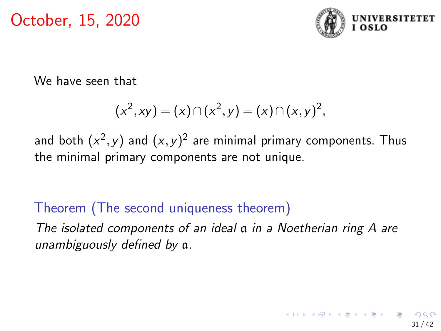

We have seen that

$$
(x2, xy) = (x) \cap (x2, y) = (x) \cap (x, y)2,
$$

and both  $(x^2,y)$  and  $(x,y)^2$  are minimal primary components. Thus the minimal primary components are not unique.

# Theorem (The second uniqueness theorem)

The isolated components of an ideal a in a Noetherian ring A are unambiguously defined by a.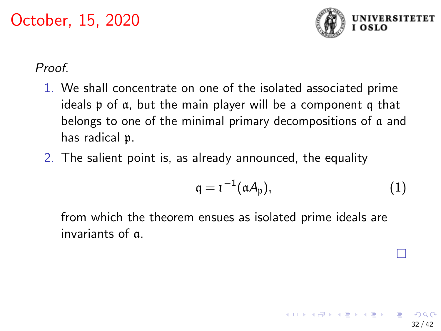

32 / 42

#### Proof.

- 1. We shall concentrate on one of the isolated associated prime ideals p of a, but the main player will be a component q that belongs to one of the minimal primary decompositions of a and has radical p.
- 2. The salient point is, as already announced, the equality

$$
q = \iota^{-1}(\mathfrak{a} A_{\mathfrak{p}}), \qquad (1)
$$

 $A \equiv \begin{pmatrix} 1 & 0 & 0 \\ 0 & 1 & 0 \\ 0 & 0 & 0 \end{pmatrix} \in A \Rightarrow A \equiv \begin{pmatrix} 1 & 0 & 0 \\ 0 & 1 & 0 \\ 0 & 0 & 0 \end{pmatrix} \in A$ 

from which the theorem ensues as isolated prime ideals are invariants of a.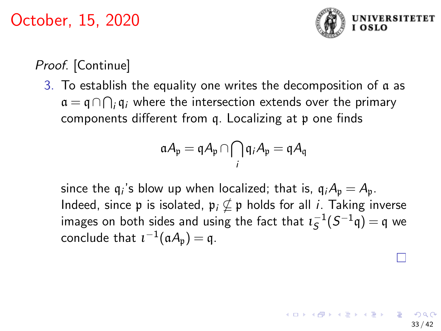

## Proof. [Continue]

3. To establish the equality one writes the decomposition of a as  $\mathfrak{a} = \mathfrak{q} \cap \bigcap_i \mathfrak{q}_i$  where the intersection extends over the primary components different from q. Localizing at p one finds

$$
\mathfrak{a} A_\mathfrak{p} = \mathfrak{q} A_\mathfrak{p} \cap \bigcap_i \mathfrak{q}_i A_\mathfrak{p} = \mathfrak{q} A_\mathfrak{q}
$$

since the  $\mathfrak{q}_i$ 's blow up when localized; that is,  $\mathfrak{q}_i A_\mathfrak{p} = A_\mathfrak{p}$ . Indeed, since p is isolated,  $\mathfrak{p}_i \nsubseteq \mathfrak{p}$  holds for all *i*. Taking inverse images on both sides and using the fact that  $\iota_S^{-1}(S^{-1}\mathfrak{q}) = \mathfrak{q}$  we conclude that  $\iota^{-1}(\mathfrak{a} A_{\mathfrak{p}}) = \mathfrak{q}$ .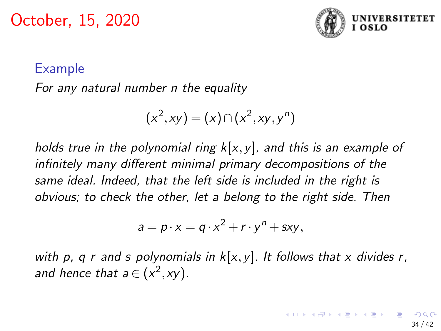

#### Example

For any natural number n the equality

$$
(x2, xy) = (x) \cap (x2, xy, yn)
$$

holds true in the polynomial ring  $k[x,y]$ , and this is an example of infinitely many different minimal primary decompositions of the same ideal. Indeed, that the left side is included in the right is obvious; to check the other, let a belong to the right side. Then

$$
a = p \cdot x = q \cdot x^2 + r \cdot y^n + sxy,
$$

with p, q r and s polynomials in  $k[x,y]$ . It follows that x divides r, and hence that  $a \in (x^2, xy)$ .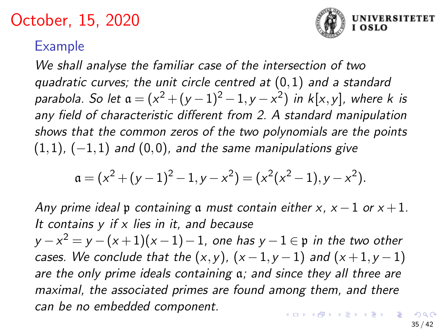

### <span id="page-34-0"></span>Example

We shall analyse the familiar case of the intersection of two quadratic curves; the unit circle centred at (0,1) and a standard parabola. So let  $\mathfrak{a} = (x^2 + (y-1)^2 - 1, y - x^2)$  in k[x,y], where k is any field of characteristic different from 2. A standard manipulation shows that the common zeros of the two polynomials are the points  $(1,1)$ ,  $(-1,1)$  and  $(0,0)$ , and the same manipulations give

$$
\mathfrak{a} = (x^2 + (y - 1)^2 - 1, y - x^2) = (x^2(x^2 - 1), y - x^2).
$$

Any prime ideal p containing a must contain either x,  $x - 1$  or  $x + 1$ . It contains  $y$  if  $x$  lies in it, and because  $y-x^2=y-(x+1)(x-1)-1,$  one has  $y-1\in \mathfrak{p}$  in the two other cases. We conclude that the  $(x,y)$ ,  $(x-1,y-1)$  and  $(x+1,y-1)$ are the only prime ideals containing a; and since they all three are maximal, the associated primes are found among them, and there can be no embedded component. 

35 / 42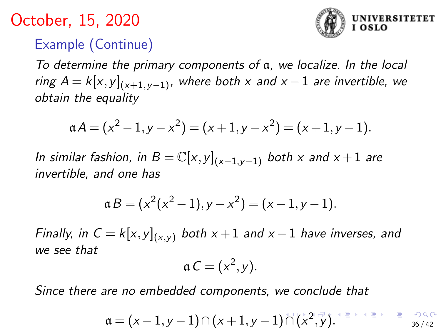# <span id="page-35-0"></span>Example (Continue)

To determine the primary components of a, we localize. In the local ring  $A = k[x, y]_{x+1, y-1}$ , where both x and  $x - 1$  are invertible, we obtain the equality

$$
\mathfrak{a} A = (x^2 - 1, y - x^2) = (x + 1, y - x^2) = (x + 1, y - 1).
$$

In similar fashion, in  $B = \mathbb{C}[x,y]_{(x-1,y-1)}$  both x and  $x+1$  are invertible, and one has

$$
a B = (x2(x2 - 1), y - x2) = (x - 1, y - 1).
$$

Finally, in  $C = k[x,y]_{(x,y)}$  both  $x+1$  and  $x-1$  have inverses, and we see that

$$
\mathfrak{a} C = (x^2, y).
$$

Since there are no embedded components, we conclude that

$$
\mathfrak{a} = (x-1,y-1) \cap (x+1,y-1) \cap (x^2,y).
$$

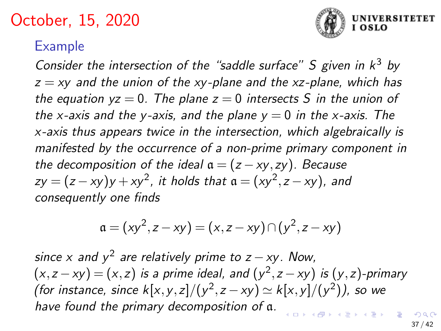

### <span id="page-36-0"></span>Example

Consider the intersection of the "saddle surface"  $S$  given in  $k^3$  by  $z = xy$  and the union of the xy-plane and the xz-plane, which has the equation  $yz = 0$ . The plane  $z = 0$  intersects S in the union of the x-axis and the y-axis, and the plane  $y = 0$  in the x-axis. The x-axis thus appears twice in the intersection, which algebraically is manifested by the occurrence of a non-prime primary component in the decomposition of the ideal  $a = (z - xy, zy)$ . Because  $zy = (z - xy)y + xy^2$ , it holds that  $\mathfrak{a} = (xy^2, z - xy)$ , and consequently one finds

$$
\mathfrak{a} = (xy^2, z - xy) = (x, z - xy) \cap (y^2, z - xy)
$$

since x and  $y^2$  are relatively prime to z  $-$  xy. Now,  $(x, z - xy) = (x, z)$  is a prime ideal, and  $(y^2, z - xy)$  is  $(y, z)$ -primary (for instance, since  $k[x, y, z]/(y^2, z - xy) \simeq k[x, y]/(y^2)$ ), so we have found the primary decomposition of a.  $\begin{array}{cccccccccccccc} \ast & \ast & \mathbb{R} & \ast & \ast & \mathbb{R} \end{array}$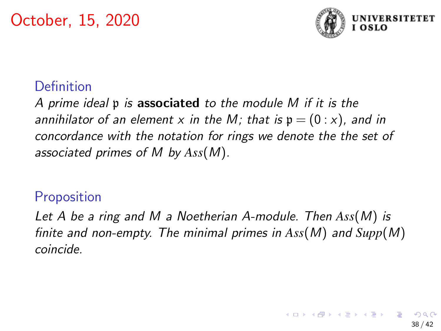

## Definition

A prime ideal p is associated to the module M if it is the annihilator of an element x in the M; that is  $p = (0 : x)$ , and in concordance with the notation for rings we denote the the set of associated primes of M by *Ass*(M).

### **Proposition**

Let A be a ring and M a Noetherian A-module. Then *Ass*(M) is finite and non-empty. The minimal primes in *Ass*(M) and *Supp*(M) coincide.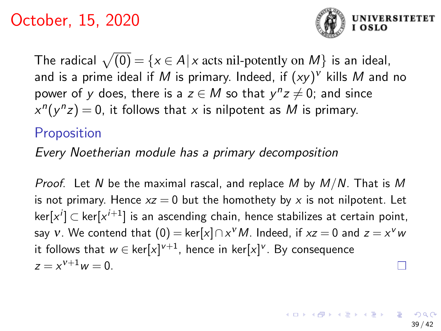

The radical  $\sqrt{(0)} = \{x \in A | x \text{ acts nil-potently on } M \}$  is an ideal, and is a prime ideal if  $M$  is primary. Indeed, if  $(xy)^{\nu}$  kills  $M$  and no power of y does, there is a  $z \in M$  so that  $y^nz \neq 0$ ; and since  $x^{n}(y^{n}z) = 0$ , it follows that x is nilpotent as M is primary.

### **Proposition**

Every Noetherian module has a primary decomposition

*Proof.* Let N be the maximal rascal, and replace M by  $M/N$ . That is M is not primary. Hence  $xz = 0$  but the homothety by x is not nilpotent. Let ker $[x^i]$   $\subset$  ker $[x^{i+1}]$  is an ascending chain, hence stabilizes at certain point, say  $v$ . We contend that  $(0) = \text{ker}[x] \cap x^v M$ . Indeed, if  $xz = 0$  and  $z = x^v w$ it follows that  $w\in\ker[x]^{v+1}$ , hence in ker $[x]^{v}$ . By consequence  $z = x^{\nu+1}w = 0.$ Г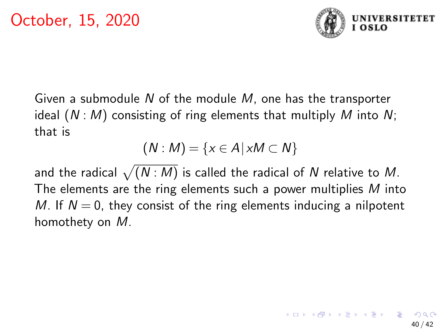

Given a submodule  $N$  of the module  $M$ , one has the transporter ideal  $(N : M)$  consisting of ring elements that multiply M into N; that is

$$
(N: M) = \{x \in A | xM \subset N\}
$$

and the radical  $\sqrt{(N : M)}$  is called the radical of  $N$  relative to  $M.$ The elements are the ring elements such a power multiplies M into M. If  $N = 0$ , they consist of the ring elements inducing a nilpotent homothety on M.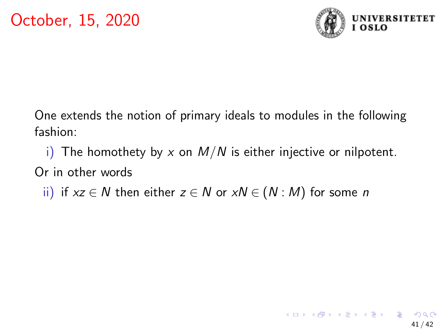

One extends the notion of primary ideals to modules in the following fashion:

i) The homothety by x on  $M/N$  is either injective or nilpotent. Or in other words

ii) if  $xz \in N$  then either  $z \in N$  or  $xN \in (N : M)$  for some n